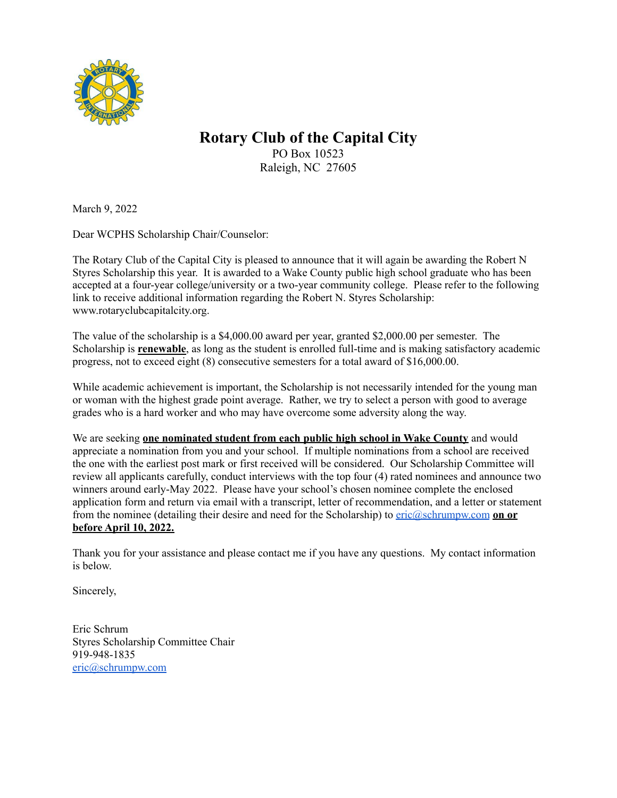

## **Rotary Club of the Capital City**

PO Box 10523 Raleigh, NC 27605

March 9, 2022

Dear WCPHS Scholarship Chair/Counselor:

The Rotary Club of the Capital City is pleased to announce that it will again be awarding the Robert N Styres Scholarship this year. It is awarded to a Wake County public high school graduate who has been accepted at a four-year college/university or a two-year community college. Please refer to the following link to receive additional information regarding the Robert N. Styres Scholarship: www.rotaryclubcapitalcity.org.

The value of the scholarship is a \$4,000.00 award per year, granted \$2,000.00 per semester. The Scholarship is **renewable**, as long as the student is enrolled full-time and is making satisfactory academic progress, not to exceed eight (8) consecutive semesters for a total award of \$16,000.00.

While academic achievement is important, the Scholarship is not necessarily intended for the young man or woman with the highest grade point average. Rather, we try to select a person with good to average grades who is a hard worker and who may have overcome some adversity along the way.

We are seeking **one nominated student from each public high school in Wake County** and would appreciate a nomination from you and your school. If multiple nominations from a school are received the one with the earliest post mark or first received will be considered. Our Scholarship Committee will review all applicants carefully, conduct interviews with the top four (4) rated nominees and announce two winners around early-May 2022. Please have your school's chosen nominee complete the enclosed application form and return via email with a transcript, letter of recommendation, and a letter or statement from the nominee (detailing their desire and need for the Scholarship) to [eric@schrumpw.com](mailto:eric@schrumpw.com) **on or before April 10, 2022.**

Thank you for your assistance and please contact me if you have any questions. My contact information is below.

Sincerely,

Eric Schrum Styres Scholarship Committee Chair 919-948-1835 [eric@schrumpw.com](mailto:eric@schrumpw.com)